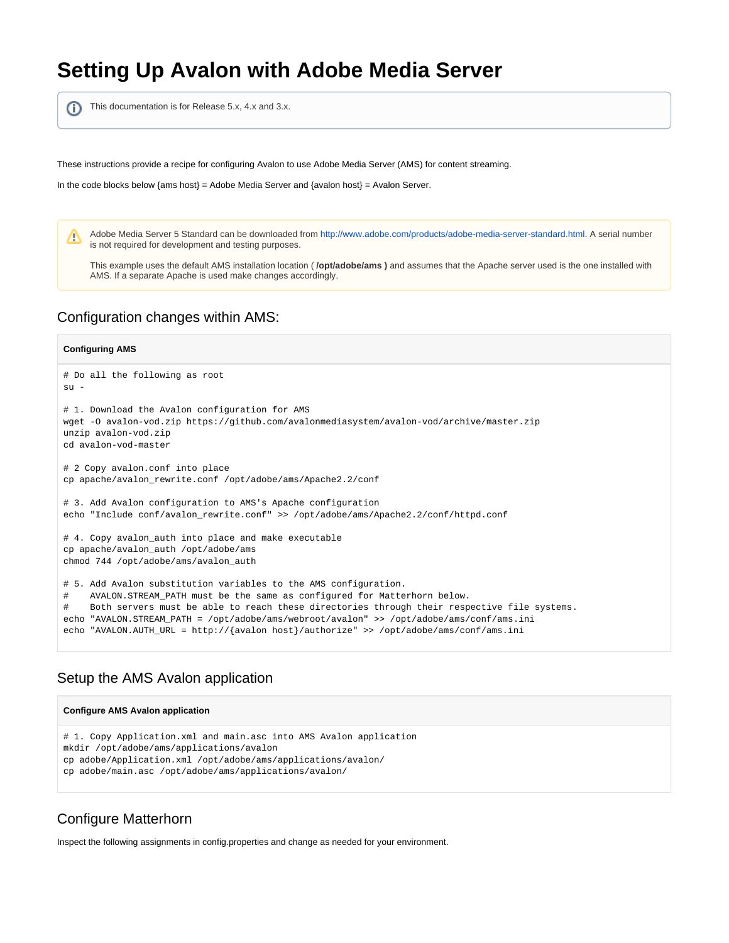# **Setting Up Avalon with Adobe Media Server**

This documentation is for Release 5.x, 4.x and 3.x. ⋒

These instructions provide a recipe for configuring Avalon to use Adobe Media Server (AMS) for content streaming.

In the code blocks below  $\{ams host\} = Adobe Media Server and \{avalon host\} = Available$ 

Adobe Media Server 5 Standard can be downloaded from<http://www.adobe.com/products/adobe-media-server-standard.html>. A serial number m is not required for development and testing purposes.

This example uses the default AMS installation location ( **/opt/adobe/ams )** and assumes that the Apache server used is the one installed with AMS. If a separate Apache is used make changes accordingly.

### Configuration changes within AMS:

#### **Configuring AMS**

```
# Do all the following as root
\sin -# 1. Download the Avalon configuration for AMS
wget -O avalon-vod.zip https://github.com/avalonmediasystem/avalon-vod/archive/master.zip
unzip avalon-vod.zip
cd avalon-vod-master
# 2 Copy avalon.conf into place
cp apache/avalon_rewrite.conf /opt/adobe/ams/Apache2.2/conf
# 3. Add Avalon configuration to AMS's Apache configuration
echo "Include conf/avalon_rewrite.conf" >> /opt/adobe/ams/Apache2.2/conf/httpd.conf
# 4. Copy avalon_auth into place and make executable
cp apache/avalon_auth /opt/adobe/ams
chmod 744 /opt/adobe/ams/avalon_auth
# 5. Add Avalon substitution variables to the AMS configuration. 
    AVALON.STREAM_PATH must be the same as configured for Matterhorn below.
    Both servers must be able to reach these directories through their respective file systems.
echo "AVALON.STREAM_PATH = /opt/adobe/ams/webroot/avalon" >> /opt/adobe/ams/conf/ams.ini
echo "AVALON.AUTH_URL = http://{avalon host}/authorize" >> /opt/adobe/ams/conf/ams.ini
```
### Setup the AMS Avalon application

#### **Configure AMS Avalon application**

```
# 1. Copy Application.xml and main.asc into AMS Avalon application
mkdir /opt/adobe/ams/applications/avalon
cp adobe/Application.xml /opt/adobe/ams/applications/avalon/
cp adobe/main.asc /opt/adobe/ams/applications/avalon/
```
### Configure Matterhorn

Inspect the following assignments in config.properties and change as needed for your environment.